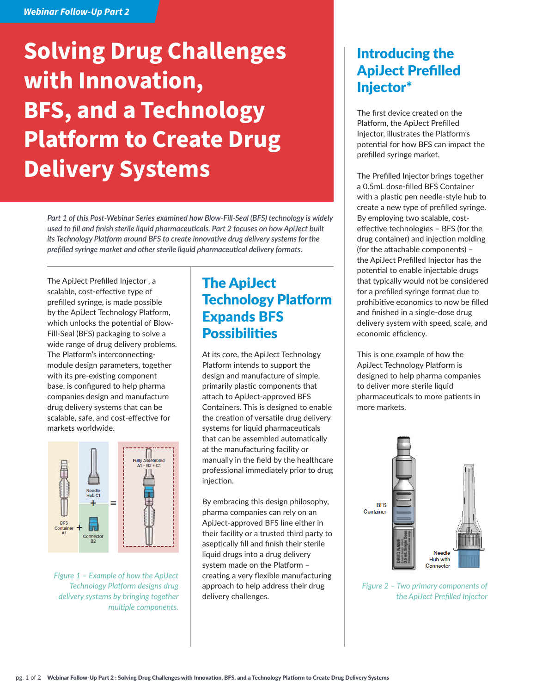### *Webinar Follow-Up Part 2*

# **Solving Drug Challenges with Innovation, BFS, and a Technology Platform to Create Drug Delivery Systems**

*Part 1 of this Post-Webinar Series examined how Blow-Fill-Seal (BFS) technology is widely used to fill and finish sterile liquid pharmaceuticals. Part 2 focuses on how ApiJect built its Technology Platform around BFS to create innovative drug delivery systems for the prefilled syringe market and other sterile liquid pharmaceutical delivery formats.*

The ApiJect Prefilled Injector , a scalable, cost-effective type of prefilled syringe, is made possible by the ApiJect Technology Platform, which unlocks the potential of Blow-Fill-Seal (BFS) packaging to solve a wide range of drug delivery problems. The Platform's interconnectingmodule design parameters, together with its pre-existing component base, is configured to help pharma companies design and manufacture drug delivery systems that can be scalable, safe, and cost-effective for markets worldwide.



*Figure 1 – Example of how the ApiJect Technology Platform designs drug delivery systems by bringing together multiple components.*

# The ApiJect Technology Platform Expands BFS **Possibilities**

At its core, the ApiJect Technology Platform intends to support the design and manufacture of simple, primarily plastic components that attach to ApiJect-approved BFS Containers. This is designed to enable the creation of versatile drug delivery systems for liquid pharmaceuticals that can be assembled automatically at the manufacturing facility or manually in the field by the healthcare professional immediately prior to drug injection.

By embracing this design philosophy, pharma companies can rely on an ApiJect-approved BFS line either in their facility or a trusted third party to aseptically fill and finish their sterile liquid drugs into a drug delivery system made on the Platform – creating a very flexible manufacturing approach to help address their drug delivery challenges.

## Introducing the ApiJect Prefilled Injector\*

The first device created on the Platform, the ApiJect Prefilled Injector, illustrates the Platform's potential for how BFS can impact the prefilled syringe market.

The Prefilled Injector brings together a 0.5mL dose-filled BFS Container with a plastic pen needle-style hub to create a new type of prefilled syringe. By employing two scalable, costeffective technologies – BFS (for the drug container) and injection molding (for the attachable components) – the ApiJect Prefilled Injector has the potential to enable injectable drugs that typically would not be considered for a prefilled syringe format due to prohibitive economics to now be filled and finished in a single-dose drug delivery system with speed, scale, and economic efficiency.

This is one example of how the ApiJect Technology Platform is designed to help pharma companies to deliver more sterile liquid pharmaceuticals to more patients in more markets.



*Figure 2 – Two primary components of the ApiJect Prefilled Injector*